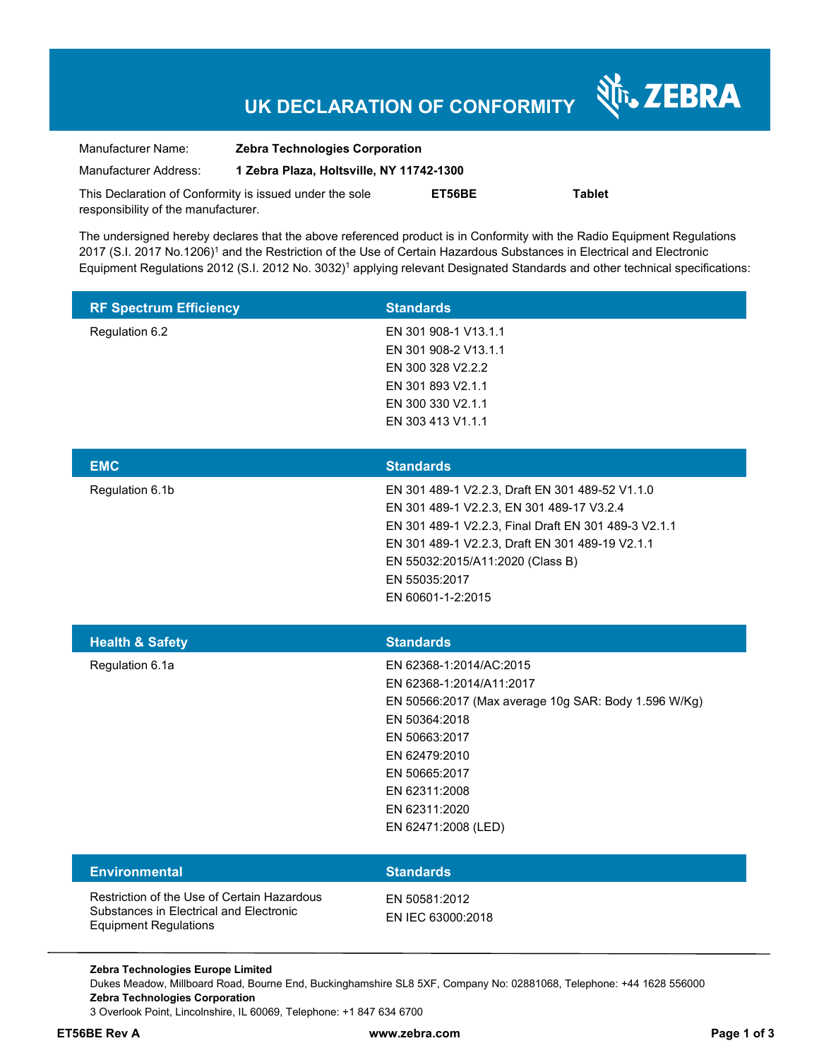# **UK DECLARATION OF CONFORMITY**

Nr. ZEBRA

| Manufacturer Name:                                      | <b>Zebra Technologies Corporation</b>    |        |               |  |
|---------------------------------------------------------|------------------------------------------|--------|---------------|--|
| Manufacturer Address:                                   | 1 Zebra Plaza, Holtsville, NY 11742-1300 |        |               |  |
| This Declaration of Conformity is issued under the sole |                                          | ET56BE | <b>Tablet</b> |  |
| responsibility of the manufacturer.                     |                                          |        |               |  |

The undersigned hereby declares that the above referenced product is in Conformity with the Radio Equipment Regulations 2017 (S.I. 2017 No.1206)<sup>1</sup> and the Restriction of the Use of Certain Hazardous Substances in Electrical and Electronic Equipment Regulations 2012 (S.I. 2012 No. 3032)<sup>1</sup> applying relevant Designated Standards and other technical specifications:

| <b>RF Spectrum Efficiency</b>                                           | <b>Standards</b>                                                      |
|-------------------------------------------------------------------------|-----------------------------------------------------------------------|
| Regulation 6.2                                                          | EN 301 908-1 V13.1.1                                                  |
|                                                                         | EN 301 908-2 V13.1.1                                                  |
|                                                                         | EN 300 328 V2.2.2                                                     |
|                                                                         | EN 301 893 V2.1.1                                                     |
|                                                                         | EN 300 330 V2.1.1                                                     |
|                                                                         | EN 303 413 V1.1.1                                                     |
|                                                                         |                                                                       |
| <b>EMC</b>                                                              | <b>Standards</b>                                                      |
| Regulation 6.1b                                                         | EN 301 489-1 V2.2.3, Draft EN 301 489-52 V1.1.0                       |
|                                                                         | EN 301 489-1 V2.2.3, EN 301 489-17 V3.2.4                             |
|                                                                         | EN 301 489-1 V2.2.3, Final Draft EN 301 489-3 V2.1.1                  |
|                                                                         | EN 301 489-1 V2.2.3, Draft EN 301 489-19 V2.1.1                       |
|                                                                         | EN 55032:2015/A11:2020 (Class B)                                      |
|                                                                         | EN 55035:2017                                                         |
|                                                                         | EN 60601-1-2:2015                                                     |
|                                                                         |                                                                       |
|                                                                         | <b>Standards</b>                                                      |
| <b>Health &amp; Safety</b>                                              |                                                                       |
| Regulation 6.1a                                                         | EN 62368-1:2014/AC:2015<br>EN 62368-1:2014/A11:2017                   |
|                                                                         |                                                                       |
|                                                                         | EN 50566:2017 (Max average 10g SAR: Body 1.596 W/Kg)<br>EN 50364:2018 |
|                                                                         | EN 50663:2017                                                         |
|                                                                         | EN 62479:2010                                                         |
|                                                                         | EN 50665:2017                                                         |
|                                                                         | EN 62311:2008                                                         |
|                                                                         | EN 62311:2020                                                         |
|                                                                         | EN 62471:2008 (LED)                                                   |
|                                                                         |                                                                       |
| <b>Environmental</b>                                                    | <b>Standards</b>                                                      |
| Restriction of the Use of Certain Hazardous                             | EN 50581:2012                                                         |
| Substances in Electrical and Electronic<br><b>Equipment Regulations</b> | EN IEC 63000:2018                                                     |

**Zebra Technologies Europe Limited**  Dukes Meadow, Millboard Road, Bourne End, Buckinghamshire SL8 5XF, Company No: 02881068, Telephone: +44 1628 556000 **Zebra Technologies Corporation**  3 Overlook Point, Lincolnshire, IL 60069, Telephone: +1 847 634 6700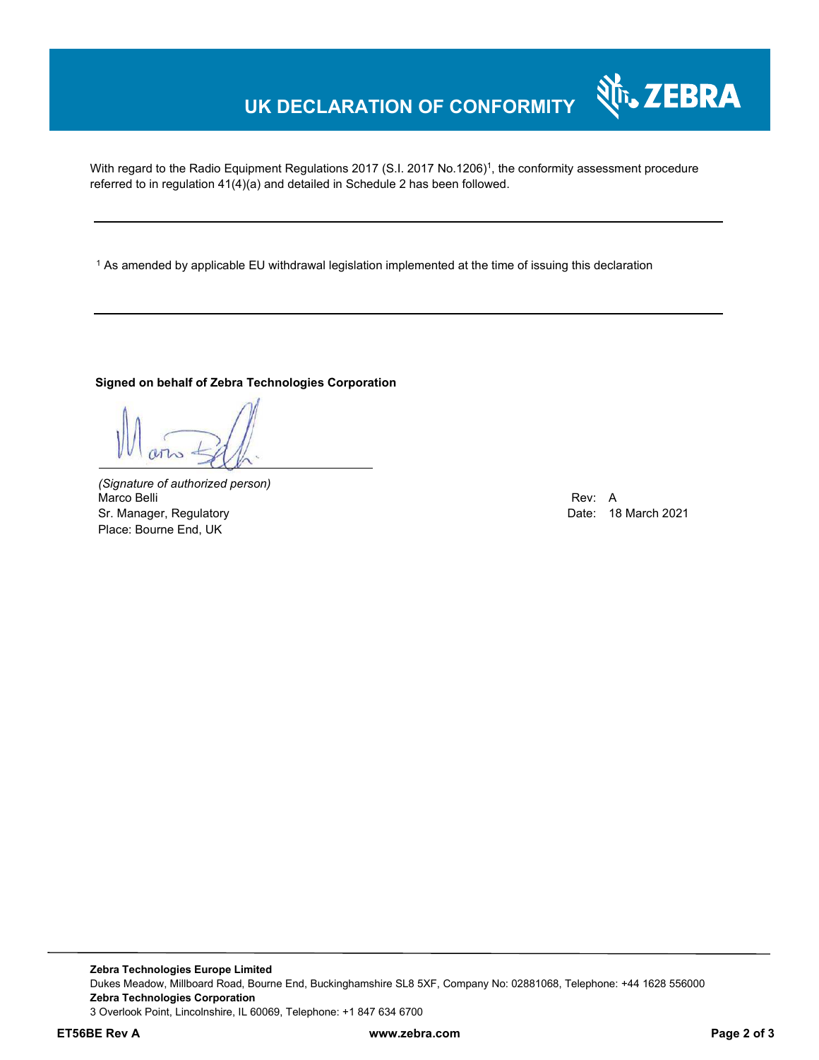## **UK DECLARATION OF CONFORMITY**

With regard to the Radio Equipment Regulations 2017 (S.I. 2017 No.1206)<sup>1</sup>, the conformity assessment procedure referred to in regulation 41(4)(a) and detailed in Schedule 2 has been followed.

1 As amended by applicable EU withdrawal legislation implemented at the time of issuing this declaration

#### **Signed on behalf of Zebra Technologies Corporation**

*(Signature of authorized person)* Marco Belli Rev: A Sr. Manager, Regulatory **Date: 18 March 2021 Contract Contract Contract Contract Contract Contract Contract Contract Contract Contract Contract Contract Contract Contract Contract Contract Contract Contract Contract Cont** Place: Bourne End, UK

र्शे<sub>ि</sub> ZEBRA